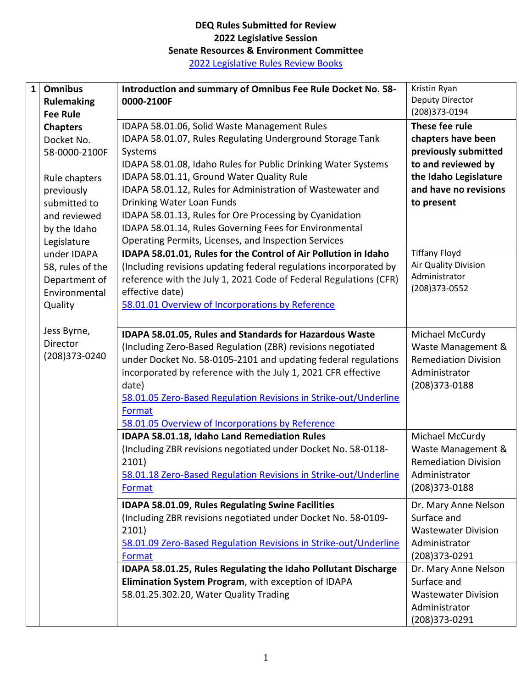## **DEQ Rules Submitted for Review 2022 Legislative Session Senate Resources & Environment Committee** 2022 [Legislative Rules Review Books](https://adminrules.idaho.gov/legislative_books/2022/)

| $\mathbf{1}$ | <b>Omnibus</b><br><b>Rulemaking</b><br><b>Fee Rule</b> | Introduction and summary of Omnibus Fee Rule Docket No. 58-<br>0000-2100F | Kristin Ryan<br>Deputy Director<br>(208)373-0194 |
|--------------|--------------------------------------------------------|---------------------------------------------------------------------------|--------------------------------------------------|
|              | <b>Chapters</b>                                        | IDAPA 58.01.06, Solid Waste Management Rules                              | These fee rule                                   |
|              | Docket No.                                             | IDAPA 58.01.07, Rules Regulating Underground Storage Tank                 | chapters have been                               |
|              | 58-0000-2100F                                          | Systems                                                                   | previously submitted                             |
|              |                                                        | IDAPA 58.01.08, Idaho Rules for Public Drinking Water Systems             | to and reviewed by                               |
|              | Rule chapters                                          | IDAPA 58.01.11, Ground Water Quality Rule                                 | the Idaho Legislature                            |
|              | previously                                             | IDAPA 58.01.12, Rules for Administration of Wastewater and                | and have no revisions                            |
|              | submitted to                                           | Drinking Water Loan Funds                                                 | to present                                       |
|              | and reviewed                                           | IDAPA 58.01.13, Rules for Ore Processing by Cyanidation                   |                                                  |
|              |                                                        | IDAPA 58.01.14, Rules Governing Fees for Environmental                    |                                                  |
|              | by the Idaho                                           |                                                                           |                                                  |
|              | Legislature                                            | Operating Permits, Licenses, and Inspection Services                      | <b>Tiffany Floyd</b>                             |
|              | under IDAPA                                            | IDAPA 58.01.01, Rules for the Control of Air Pollution in Idaho           | Air Quality Division                             |
|              | 58, rules of the                                       | (Including revisions updating federal regulations incorporated by         | Administrator                                    |
|              | Department of                                          | reference with the July 1, 2021 Code of Federal Regulations (CFR)         | (208) 373-0552                                   |
|              | Environmental                                          | effective date)                                                           |                                                  |
|              | Quality                                                | 58.01.01 Overview of Incorporations by Reference                          |                                                  |
|              | Jess Byrne,                                            | IDAPA 58.01.05, Rules and Standards for Hazardous Waste                   | Michael McCurdy                                  |
|              | Director                                               | (Including Zero-Based Regulation (ZBR) revisions negotiated               | Waste Management &                               |
|              | (208)373-0240                                          | under Docket No. 58-0105-2101 and updating federal regulations            | <b>Remediation Division</b>                      |
|              |                                                        | incorporated by reference with the July 1, 2021 CFR effective             | Administrator                                    |
|              |                                                        |                                                                           |                                                  |
|              |                                                        | date)                                                                     | (208) 373-0188                                   |
|              |                                                        | 58.01.05 Zero-Based Regulation Revisions in Strike-out/Underline          |                                                  |
|              |                                                        | Format                                                                    |                                                  |
|              |                                                        | 58.01.05 Overview of Incorporations by Reference                          |                                                  |
|              |                                                        | IDAPA 58.01.18, Idaho Land Remediation Rules                              | Michael McCurdy                                  |
|              |                                                        | (Including ZBR revisions negotiated under Docket No. 58-0118-             | Waste Management &                               |
|              |                                                        | 2101)                                                                     | <b>Remediation Division</b>                      |
|              |                                                        | 58.01.18 Zero-Based Regulation Revisions in Strike-out/Underline          | Administrator                                    |
|              |                                                        | Format                                                                    | (208)373-0188                                    |
|              |                                                        | IDAPA 58.01.09, Rules Regulating Swine Facilities                         | Dr. Mary Anne Nelson                             |
|              |                                                        | (Including ZBR revisions negotiated under Docket No. 58-0109-             | Surface and                                      |
|              |                                                        | 2101)                                                                     | <b>Wastewater Division</b>                       |
|              |                                                        | 58.01.09 Zero-Based Regulation Revisions in Strike-out/Underline          | Administrator                                    |
|              |                                                        | Format                                                                    | (208)373-0291                                    |
|              |                                                        | IDAPA 58.01.25, Rules Regulating the Idaho Pollutant Discharge            | Dr. Mary Anne Nelson                             |
|              |                                                        | Elimination System Program, with exception of IDAPA                       | Surface and                                      |
|              |                                                        | 58.01.25.302.20, Water Quality Trading                                    | <b>Wastewater Division</b>                       |
|              |                                                        |                                                                           | Administrator                                    |
|              |                                                        |                                                                           | (208)373-0291                                    |